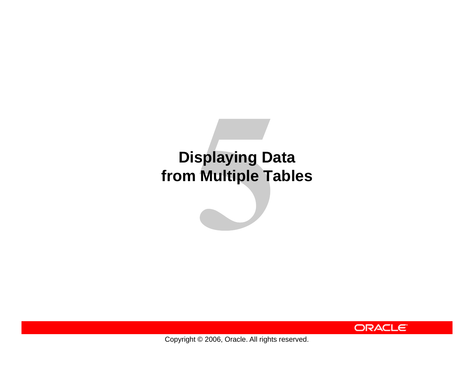# **Displaying Data from Multiple Tables**



Copyright © 2006, Oracle. All rights reserved.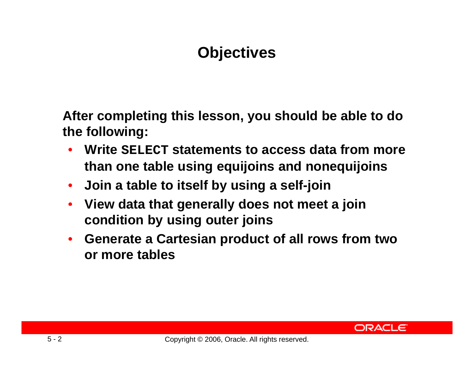# **Objectives**

**After completing this lesson you should be able to do this lesson, the following:**

- $\bullet$  **Write SELECT statements to access data from more than one table using equijoins and nonequijoins**
- •**Join a table to itself by using a self-join**
- $\bullet$  **View data that generally does not meet <sup>a</sup> join condition by using outer joins**
- $\bullet$  **Generate a Cartesian product of all rows from two or more t bl a es**

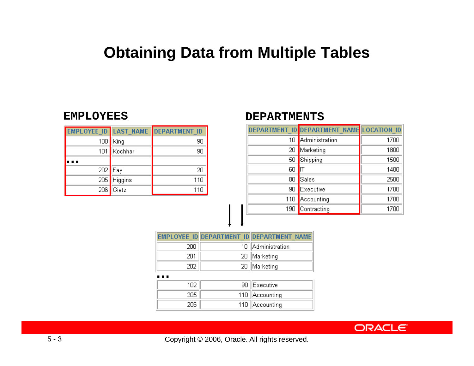#### **Obtaining Data from Multiple Tables**

#### **EMPLOYEES**

|     |                | EMPLOYEE ID LAST NAME DEPARTMENT ID |
|-----|----------------|-------------------------------------|
| 100 | King           | 90                                  |
| 101 | Kochhar        | 90                                  |
|     |                |                                     |
| 202 | Fay            | 20                                  |
| 205 | <b>Higgins</b> | 110                                 |
| 206 | Gietz          | 11ſ                                 |

#### **DEPARTMENTS**

|     | DEPARTMENT ID DEPARTMENT NAME LOCATION ID |      |
|-----|-------------------------------------------|------|
| 10  | Administration                            | 1700 |
| 20  | Marketing                                 | 1800 |
| 50  | Shipping                                  | 1500 |
| 60  |                                           | 1400 |
| 80  | Sales                                     | 2500 |
| 90  | Executive                                 | 1700 |
| 110 | Accounting                                | 1700 |
| 190 | Contracting                               | 1700 |

|     |     | EMPLOYEE ID DEPARTMENT ID DEPARTMENT NAME |  |
|-----|-----|-------------------------------------------|--|
| 200 | 10. | Administration                            |  |
| 201 | 20  | Marketing                                 |  |
| 202 | 20  | Marketing                                 |  |
|     |     |                                           |  |
| 102 | 90  | Executive                                 |  |
| 205 | 110 | Accounting                                |  |
| 206 | 110 | Accounting                                |  |

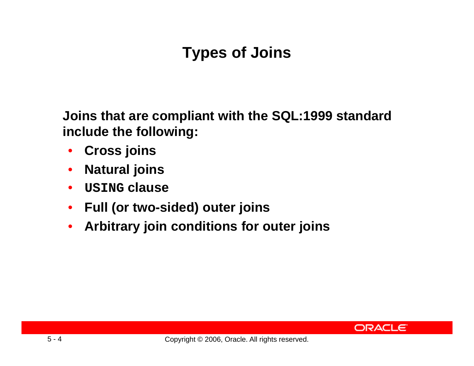# **Types of Joins**

**Joins that are compliant with the SQL:1999 standard include the following:**

- $\bullet$ **Cross joins**
- $\bullet$ **Natural joins**
- **USING clause**
- $\bullet$ **Full (or two two-sided) outer joins sided) outer**
- $\bullet$ **Arbitrary join conditions for outer joins**

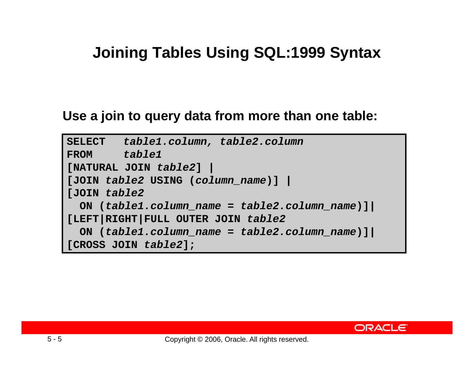### **Joining Tables Using SQL:1999 Syntax**

#### **Use <sup>a</sup> join to query data from more than one table:**

```
SELECT table1.column, table2.column
FROM table1
[NATURAL JOIN table2] |
[JOIN table2 USING (column_name)] |
[JOIN table2
  ON (table1 column name table1.column_name
= table2 column name table2.column_name)]|
[LEFT|RIGHT|FULL OUTER JOIN table2
  ON (table1.column_name =table2.column_name)]|
[CROSS JOIN table2];
```
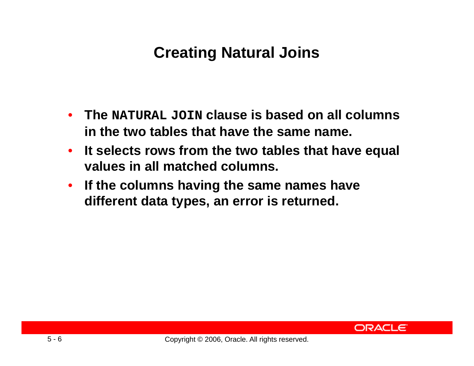# **Creating Natural Joins**

- **The NATURAL JOIN clause is based on all columns in the two tables that have the same name.**
- **It selects rows from the two tables that have equal values in all matched columns.**
- **If the columns having the same names have different data typ , es an error is returned.**

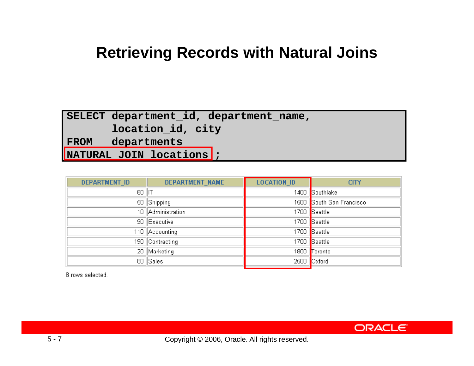#### **Retrieving Records with Natural Joins**

#### **SELECT d t t id d t t depar tment\_id, depar tment\_name,**

**location\_id, city**

**FROM departments**

**NATURAL JOIN locations ;**

| <b>DEPARTMENT NAME</b><br><b>DEPARTMENT ID</b> |             | <b>LOCATION ID</b>       | <b>CITY</b>    |
|------------------------------------------------|-------------|--------------------------|----------------|
| $60$   IT                                      |             |                          | 1400 Southlake |
|                                                | 50 Shipping | 1500 South San Francisco |                |
| 10 Administration                              |             | 1700 Seattle             |                |
| 90 Executive                                   |             | 1700 Seattle             |                |
| 110 Accounting                                 |             |                          | 1700 Seattle   |
| 190 Contracting                                |             |                          | 1700 Seattle   |
| 20 Marketing                                   |             |                          | 1800 Toronto   |
|                                                | 80 Sales    |                          | 2500 Oxford    |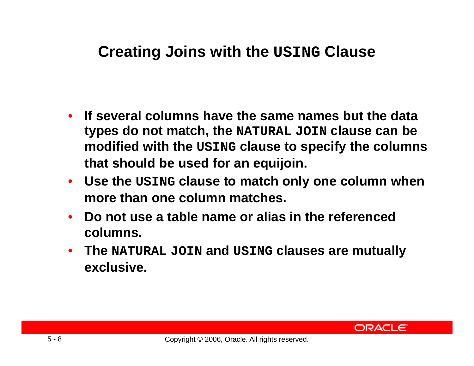### **Creating Joins with the USING Clause**

- **If several columns have the same names but the data types do not match, the NATURAL JOIN clause can be modified with the USING clause to specify the columns th t h ld b d f ij i a t s hould be use for an equij oin.**
- **Use the USING clause to match only one column when more than one column matches.**
- **Do not use a table name or alias in the referenced columns.**
- **The NATURAL JOIN and USING clauses are mutually exclusive.**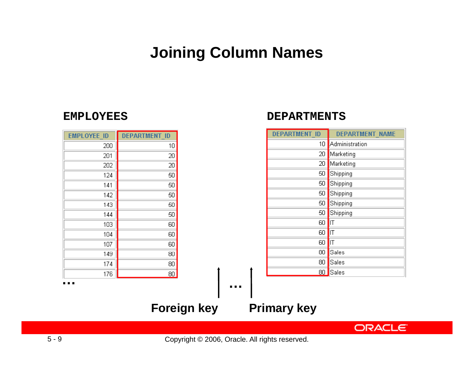### **Joining Column Names**

**DEPARTMENTS**

#### **EMPLOYEES**

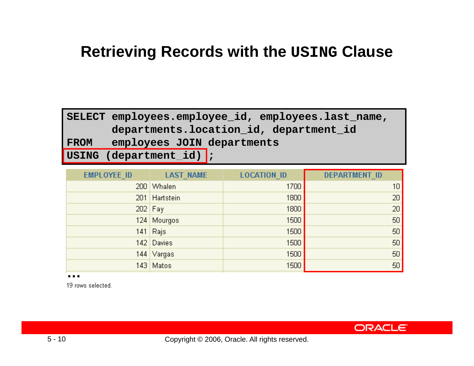### **Retrieving Records with the USING Clause**

 $\blacksquare$  **SELECT** employees.employee\_id, employees.last\_name, **departments.location\_id, department\_id FROM employees JOIN departments USING ( p \_ ); de partment id) ;**

| EMPLOYEE_ID | <b>LAST_NAME</b> | <b>LOCATION ID</b> | <b>DEPARTMENT ID</b> |
|-------------|------------------|--------------------|----------------------|
| 200         | Whalen           | 1700               | 10                   |
|             | 201 Hartstein    | 1800               | 20                   |
|             | $202$ Fay        | 1800               | 20                   |
|             | 124 Mourgos      | 1500               | 50                   |
|             | $141$ Rajs       | 1500               | 50                   |
|             | 142 Davies       | 1500               | 50                   |
|             | 144 Vargas       | 1500               | 50                   |
|             | 143 Matos        | 1500               | 50                   |

**…**

19 rows selected.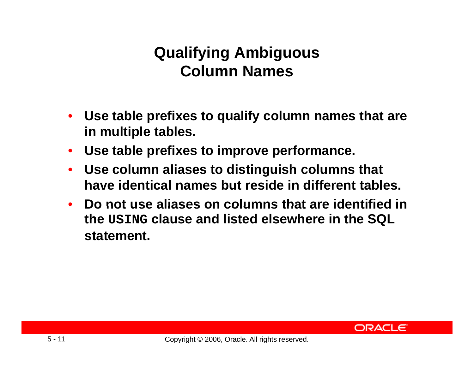## **Qualifying Ambiguous Cl N o umn Names**

- • **Use table prefixes to qualify column names that are in multiple tables.**
- **Use table prefixes to improve performance.**
- $\bullet$  **Use column aliases to distinguish columns that have identical names but reside in different tables.**
- $\bullet$  **Do not use aliases on columns that are identified in in the USING clause and listed elsewhere in the SQL statement.**

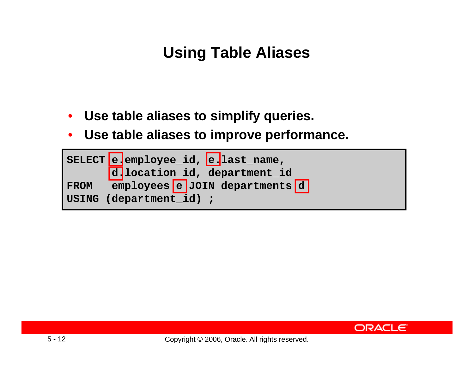# **Using Table Aliases**

- **Use table aliases to simplify queries queries.** •
- $\bullet$ **Use table aliases to improve performance.**



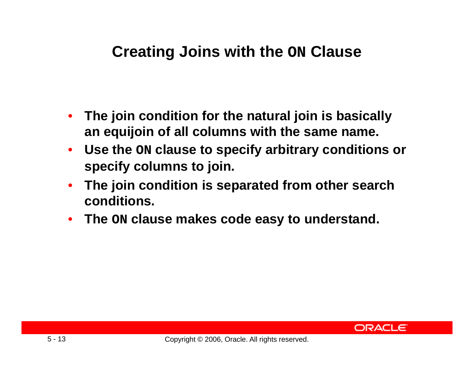### **Creating Joins with the ON Clause**

- • **The join condition for the natural join is basically basically an equijoin of all columns with the same name.**
- $\bullet$  **Use the ON clause to specify arbitrary conditions or specify columns to join.**
- $\bullet$  **The join condition is separated from other search conditions.**
- **The ON clause makes code easy to understand.**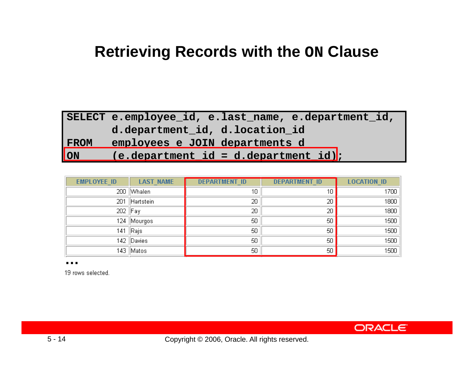#### **Retrieving Records with the ON Clause**

|                             | SELECT e.employee id, e.last name, e.department id,  |
|-----------------------------|------------------------------------------------------|
|                             | d.department id, d.location id                       |
| <b>FROM</b>                 | employees e JOIN departments d                       |
| $\overline{\phantom{a}}$ ON | $(e.\text{department} id = d.\text{department} id);$ |

| <b>EMPLOYEE ID</b> | <b>LAST NAME</b> | <b>DEPARTMENT ID</b> | <b>DEPARTMENT ID</b> | <b>LOCATION ID</b> |
|--------------------|------------------|----------------------|----------------------|--------------------|
|                    | 200 Whalen       | 10                   | 10                   | 1700               |
| 201                | Hartstein        | 20                   | 20                   | 1800               |
| 202 Fay            |                  | 20                   | 20                   | 1800               |
|                    | 124   Mourgos    | 50                   | 50                   | 1500               |
| 141                | Rajs             | 50                   | 50                   | 1500               |
|                    | 142 Davies       | 50                   | 50                   | 1500               |
|                    | 143   Matos      | 50                   | 50                   | 1500               |

**…**

19 rows selected.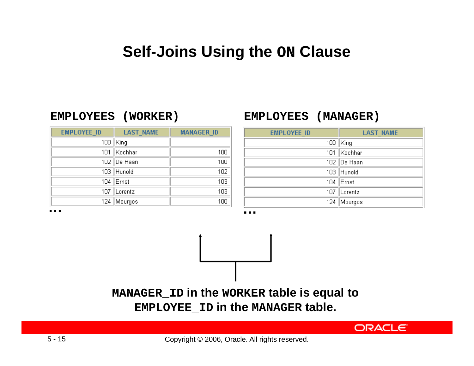### **Self-Joins Using the ON Clause**

| <b>EMPLOYEE ID</b> | <b>LAST NAME</b> | <b>MANAGER ID</b> |
|--------------------|------------------|-------------------|
| 100                | King             |                   |
| 101                | Kochhar          | 100               |
|                    | 102 De Haan      | 100               |
| 103                | Hunold           | 102               |
| 104                | ∣Ernst           | 103               |
| 107                | Lorentz          | 103               |
| 124                | Mourgos          | 100               |

#### **EMPLOYEES (WORKER) (WORKER)EMPLOYEES (MANAGER)**

| <b>EMPLOYEE ID</b> | <b>LAST NAME</b> |
|--------------------|------------------|
|                    | 100   King       |
|                    | 101 Kochhar      |
|                    | 102 De Haan      |
|                    | 103 Hunold       |
|                    | 104 $ Ernst$     |
|                    | 107 Lorentz      |
|                    | 124 Mourgos      |

**ORACLE** 

**……**

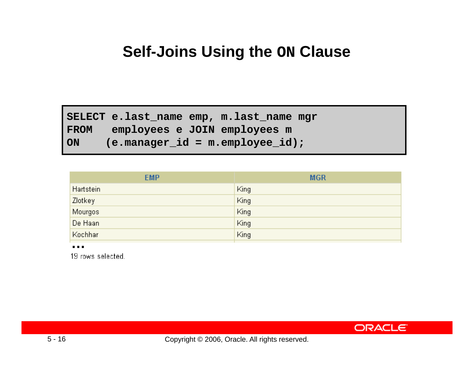### **Self-Joins Using the ON Clause**

**SC l l ELECT e.last \_name emp, m.last\_name mgr FROM employees e JOIN employees m ON (e.manager\_id = m.employee\_id);**

| <b>EMP</b> | <b>MGR</b> |
|------------|------------|
| Hartstein  | King       |
| Zlotkey    | King       |
| Mourgos    | King       |
| De Haan    | King       |
| Kochhar    | King       |

**…**

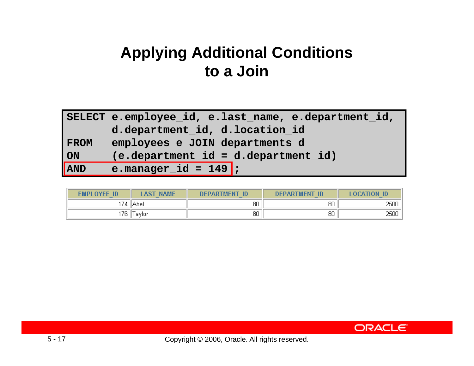## **Applying Additional Conditions t Ji to a J oin**

|                             | SELECT e.employee id, e.last name, e.department id, |
|-----------------------------|-----------------------------------------------------|
|                             | d.department_id, d.location_id                      |
| <b>FROM</b>                 | employees e JOIN departments d                      |
| ON                          | (e.department id = d.department id)                 |
| $\overline{\mathsf{I}}$ AND | e.manager_id = $149$ ;                              |

| <b>FMPLOYFE ID</b> | AST<br><b>NAME</b> | <b>DEPARTMENT</b><br>-ID | <b>DEPARTMENT</b><br>-ID | <b>ACATION</b> |
|--------------------|--------------------|--------------------------|--------------------------|----------------|
| 174                | Abel               | 80                       | 80                       | 2500           |
| 176                | Faylor             | 80                       | 80                       | 2500           |

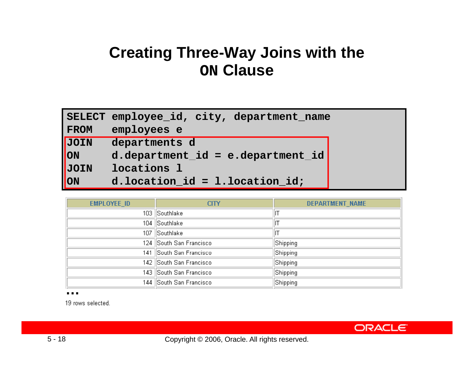### **Creating Three-Way Joins with the ON Clause**

|                           | SELECT employee_id, city, department name |
|---------------------------|-------------------------------------------|
| <b>FROM</b>               | employees e                               |
| <b>JOIN</b>               | departments d                             |
| $\overline{\textsf{ION}}$ | $d.department_id = e.department_id$       |
| <b>JOIN</b>               | locations 1                               |
| $\overline{\text{ON}}$    | d.location $id = 1$ .location $id$ ;      |

| <b>EMPLOYEE_ID</b> | <b>CITY</b>             | <b>DEPARTMENT NAME</b> |
|--------------------|-------------------------|------------------------|
|                    | 103 Southlake           |                        |
|                    | 104 Southlake           |                        |
|                    | 107 Southlake           |                        |
|                    | 124 South San Francisco | Shipping               |
|                    | 141 South San Francisco | Shipping               |
|                    | 142 South San Francisco | Shipping               |
|                    | 143 South San Francisco | Shipping               |
|                    | 144 South San Francisco | Shipping               |

**…**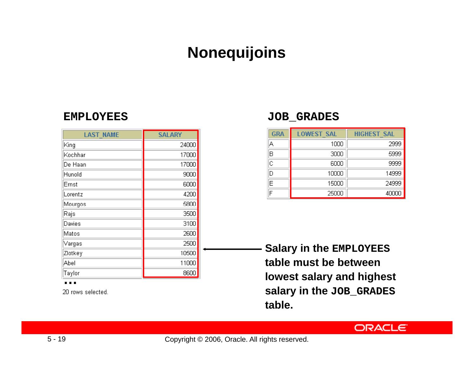### **Nonequijoins**

#### **EMPLOYEES**

| <b>LAST NAME</b> | <b>SALARY</b> |
|------------------|---------------|
| King             | 24000         |
| Kochhar          | 17000         |
| De Haan          | 17000         |
| Hunold           | 9000          |
| Ernst            | 6000          |
| Lorentz          | 4200          |
| Mourgos          | 5800          |
| Rajs             | 3500          |
| Davies           | 3100          |
| Matos            | 2600          |
| Vargas           | 2500          |
| Zlotkey          | 10500         |
| Abel             | 11000         |
| Taylor           | 8600          |

**…**

20 rows selected.

#### $\textrm{JOB\_GRADES}$

| <b>GRA</b>            | <b>LOWEST SAL</b> | <b>HIGHEST SAL</b> |
|-----------------------|-------------------|--------------------|
| А                     | 1000              | 2999               |
| B                     | 3000              | 5999               |
| $\overline{\text{c}}$ | 6000              | 9999               |
| D                     | 10000             | 14999              |
| E                     | 15000             | 24999              |
| F                     | 25000             | 40000              |

**Salary in the EMPLOYEES table must be between lowest salary and highest salary in the JOB\_GRADES table.**

**ORACLE** 

Copyright © 2006, Oracle. All rights reserved.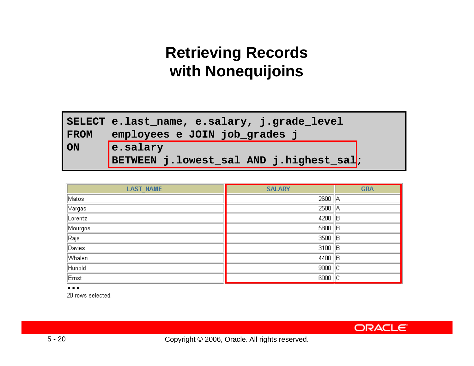# **Retrieving Records with N ij i ith Nonequijoins**

|      | SELECT e.last name, e.salary, j.grade_level         |  |  |  |
|------|-----------------------------------------------------|--|--|--|
| FROM | employees e JOIN job_grades j                       |  |  |  |
| ON   | e.salary<br>BETWEEN j.lowest_sal AND j.highest_sal; |  |  |  |

| <b>LAST_NAME</b>             | <b>SALARY</b> | <b>GRA</b> |
|------------------------------|---------------|------------|
| Matos                        | 2600   A      |            |
| $\sqrt{2 \times 2 \times 1}$ | $2500$ $ A$   |            |
| Lorentz                      | $4200$ B      |            |
| Mourgos                      | $5800$ B      |            |
| Rajs                         | $3500$ B      |            |
| <b>Davies</b>                | $3100$ B      |            |
| Whalen                       | 4400 B        |            |
| Hunold                       | $9000$ $ C$   |            |
| Ernst                        | 6000          |            |

**…**

20 rows selected.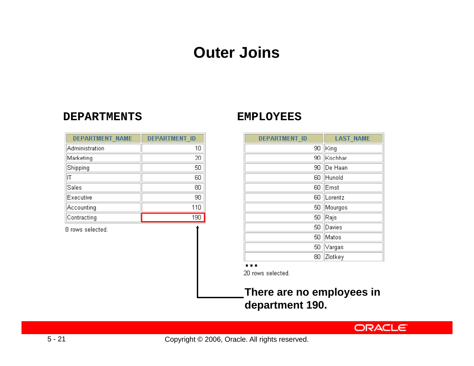### **Outer Joins**

#### **DEPARTMENTS**

#### **EMPLOYEES**

| <b>DEPARTMENT NAME</b> | <b>DEPARTMENT ID</b> |
|------------------------|----------------------|
| Administration         | 10                   |
| Marketing              | 20                   |
| Shipping               | 50                   |
| IT                     | 60                   |
| Sales                  | 80                   |
| Executive              | 90                   |
| Accounting             | 110                  |
| Contracting            | 190                  |
|                        |                      |

8 rows selected.

| <b>DEPARTMENT ID</b> | <b>LAST_NAME</b> |
|----------------------|------------------|
| 90                   | King             |
| 90                   | İKochhar         |
| 90                   | De Haan          |
| 60                   | Hunold           |
| 60                   | Ernst            |
| 60                   | Lorentz          |
| 50                   | Mourgos          |
| 50                   | Rajs             |
| 50                   | Davies           |
| 50                   | Matos            |
| 50                   | Vargas           |
| 80                   | Zlotkey          |

#### **…**

20 rows selected.

#### **There are no employees in department 190.**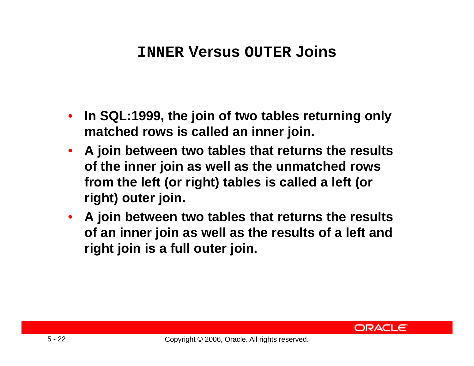### **INNER Versus OUTER Joins**

- **In SQL:1999 the join of two tables returning only SQL:1999, matched rows is called an inner join.**
- **A join between two tables that returns the results of the inner join as well as the unmatched rows from the left (or right) tables is called a left (or right) outer join.**
- **A join between two tables that returns the results of an inner join as well as the results of a left and right join is <sup>a</sup> full outer join.**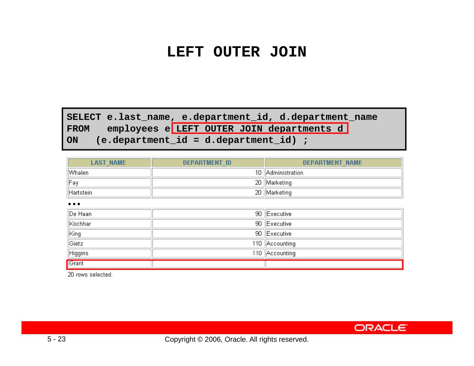#### **LEFT OUTER JOIN**

**SELECT e.last \_name, e.department\_id, d.department\_name** FROM employees e LEFT OUTER JOIN departments d

**ON (e.department\_id = d.department\_id) ;**

| <b>LAST NAME</b>                           | <b>DEPARTMENT ID</b> | <b>DEPARTMENT NAME</b> |
|--------------------------------------------|----------------------|------------------------|
| Whalen                                     |                      | 10   Administration    |
| Fay                                        |                      | 20 Marketing           |
| Hartstein                                  |                      | 20 Marketing           |
| $\mathbf{r}$ , $\mathbf{r}$ , $\mathbf{r}$ |                      |                        |
| De Haan                                    |                      | 90 Executive           |
| Kochhar                                    |                      | 90 Executive           |
| King                                       |                      | 90 Executive           |
| Gietz                                      |                      | 110 Accounting         |
| Higgins                                    |                      | 110 Accounting         |
| Grant                                      |                      |                        |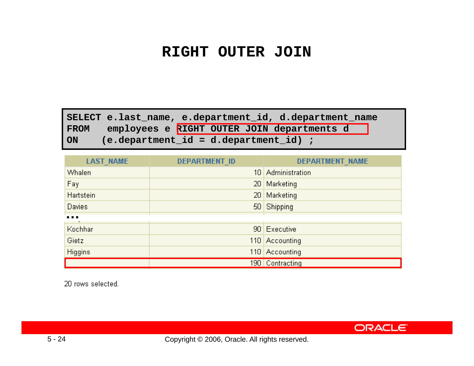#### **RIGHT OUTER JOIN**

**SELECT e.last \_name, e.department\_id, d.department\_name FROM employees e RIGHT OUTER JOIN departments d ON (e.department\_id = d.department\_id) ;**

| <b>LAST_NAME</b>                                             | DEPARTMENT ID   | DEPARTMENT_NAME   |
|--------------------------------------------------------------|-----------------|-------------------|
| Whalen                                                       |                 | 10 Administration |
| Fay                                                          | 20 <sub>1</sub> | Marketing         |
| Hartstein                                                    | 20 <sub>1</sub> | <b>Marketing</b>  |
| Davies                                                       |                 | 50 Shipping       |
| $\begin{array}{ccc} \bullet & \bullet & \bullet \end{array}$ |                 |                   |
| Kochhar                                                      |                 | 90 Executive      |
| Gietz                                                        |                 | 110 Accounting    |
| Higgins                                                      |                 | 110 Accounting    |
|                                                              |                 | 190 Contracting   |

20 rows selected.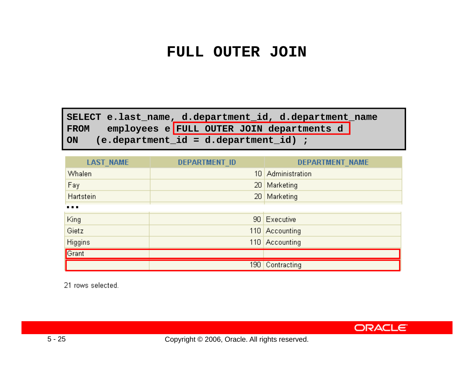#### **FULL OUTER JOIN**

**SELECT e.last \_name, d.department\_id, d.department\_name FROM employees e FULL OUTER JOIN departments d ON (e.department\_id = d.department\_id) ;**

| LAST_NAME                                                    | DEPARTMENT_ID   | DEPARTMENT NAME   |
|--------------------------------------------------------------|-----------------|-------------------|
| Whalen                                                       |                 | 10 Administration |
| Fay                                                          | 20 <sub>1</sub> | Marketing         |
| Hartstein                                                    | 20 <sub>1</sub> | Marketing         |
| $\begin{array}{ccc} \bullet & \bullet & \bullet \end{array}$ |                 |                   |
| King                                                         |                 | 90 Executive      |
| Gietz                                                        |                 | 110 Accounting    |
| Higgins                                                      |                 | 110 Accounting    |
| Grant                                                        |                 |                   |
|                                                              |                 | 190 Contracting   |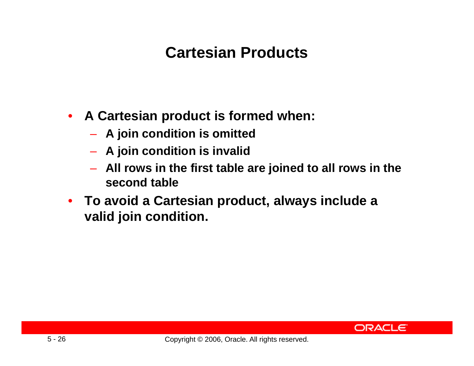## **Cartesian Products**

- **A Cartesian product is formed when:**
	- **A join condition is omitted**
	- **A join condition is invalid**
	- **All rows in the first table are joined to all rows in the second table**
- **To avoid a Cartesian p ,y roduct, always include a valid join condition.**

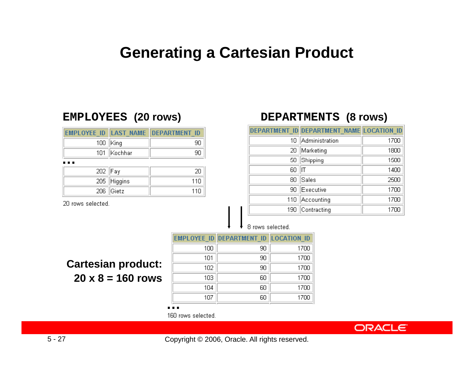#### **Generating a Cartesian Product**

#### **EMPLOYEES (20 ) rows**

|               | EMPLOYEE ID LAST NAME DEPARTMENT ID |
|---------------|-------------------------------------|
| $100$   King  |                                     |
| 101   Kochhar |                                     |
|               |                                     |

| .       |             |      |
|---------|-------------|------|
| 202 Fay |             |      |
|         | 205 Higgins | 11 N |
|         | $206$ Gietz | 11日  |

20 rows selected.

#### **) DEPARTMENTS (8 ) rows )**

|     | DEPARTMENT ID DEPARTMENT NAME LOCATION ID |      |
|-----|-------------------------------------------|------|
| 10  | Administration                            | 1700 |
| 20  | Marketing                                 | 1800 |
| 50  | Shipping                                  | 1500 |
| 60  | IΤ                                        | 1400 |
| 80  | Sales                                     | 2500 |
| 90  | Executive                                 | 1700 |
| 110 | Accounting                                | 1700 |
| 190 | Contracting                               | 1700 |

8 rows selected.

| Cartesian product: |                          |
|--------------------|--------------------------|
|                    | $20 \times 8 = 160$ rows |

|     | <b>EMPLOYEE ID DEPARTMENT ID LOCATION ID</b> |      |
|-----|----------------------------------------------|------|
| 100 | 90                                           | 1700 |
| 101 | 90                                           | 1700 |
| 102 | 90                                           | 1700 |
| 103 | 60                                           | 1700 |
| 104 | 60                                           | 1700 |
| 107 | 60                                           | 1700 |

**…**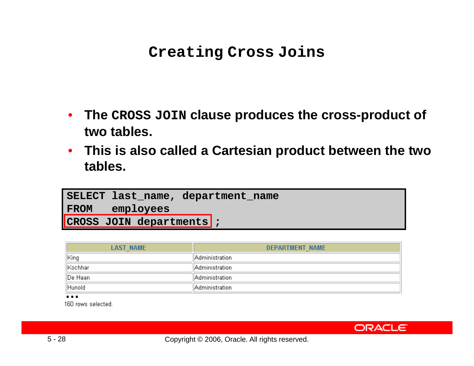#### **Creating Cross Joins**

- **The CROSS JOIN clause produces the cross -product of product two tables.**
- **This is also called a Cartesian product between the two tables.**

| SELECT last name, department name |
|-----------------------------------|
| FROM employees                    |
| CROSS JOIN departments ;          |

| <b>LAST NAME</b> | DEPARTMENT NAME |
|------------------|-----------------|
| ∥King            | Administration  |
| Kochhar!         | Administration  |
| ∥De Haan         | Administration  |
| Hunold           | Administration  |

**…**

160 rows selected.